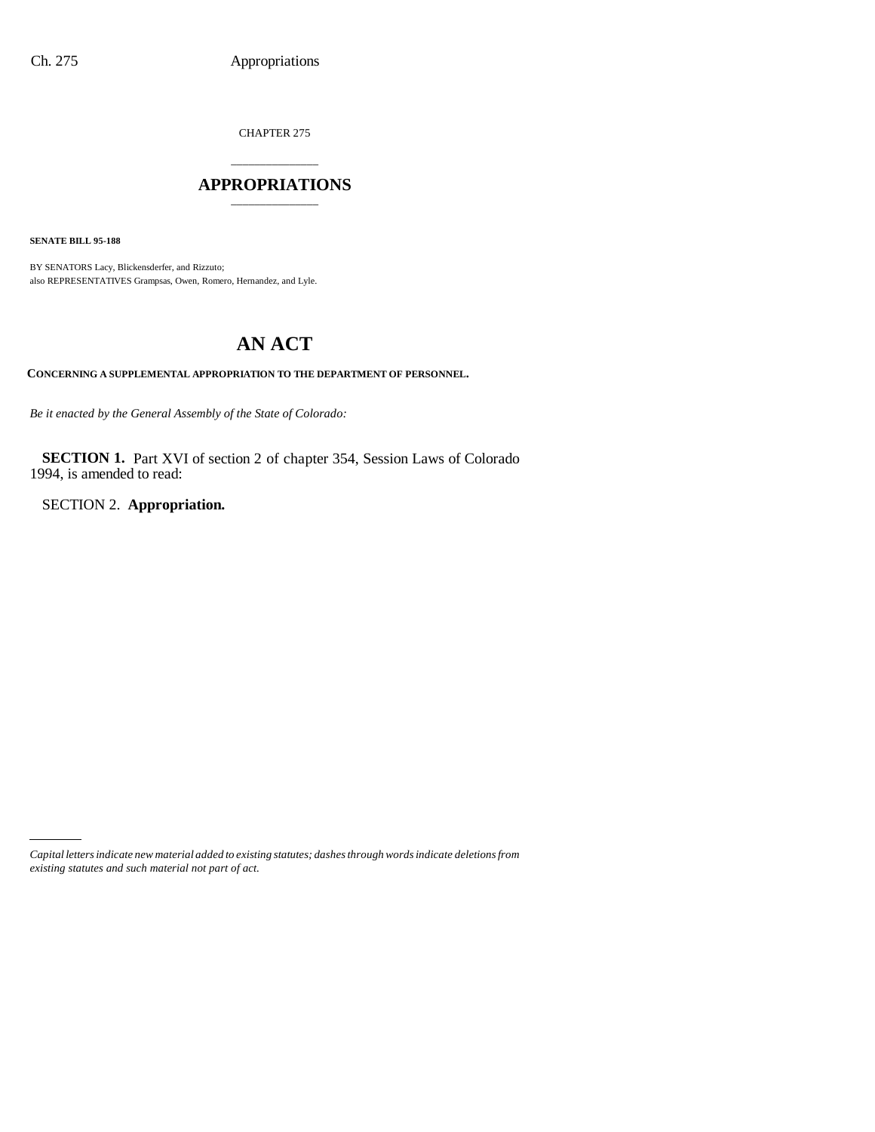CHAPTER 275

### \_\_\_\_\_\_\_\_\_\_\_\_\_\_\_ **APPROPRIATIONS** \_\_\_\_\_\_\_\_\_\_\_\_\_\_\_

**SENATE BILL 95-188**

BY SENATORS Lacy, Blickensderfer, and Rizzuto; also REPRESENTATIVES Grampsas, Owen, Romero, Hernandez, and Lyle.

# **AN ACT**

**CONCERNING A SUPPLEMENTAL APPROPRIATION TO THE DEPARTMENT OF PERSONNEL.**

*Be it enacted by the General Assembly of the State of Colorado:*

**SECTION 1.** Part XVI of section 2 of chapter 354, Session Laws of Colorado 1994, is amended to read:

SECTION 2. **Appropriation.**

*Capital letters indicate new material added to existing statutes; dashes through words indicate deletions from existing statutes and such material not part of act.*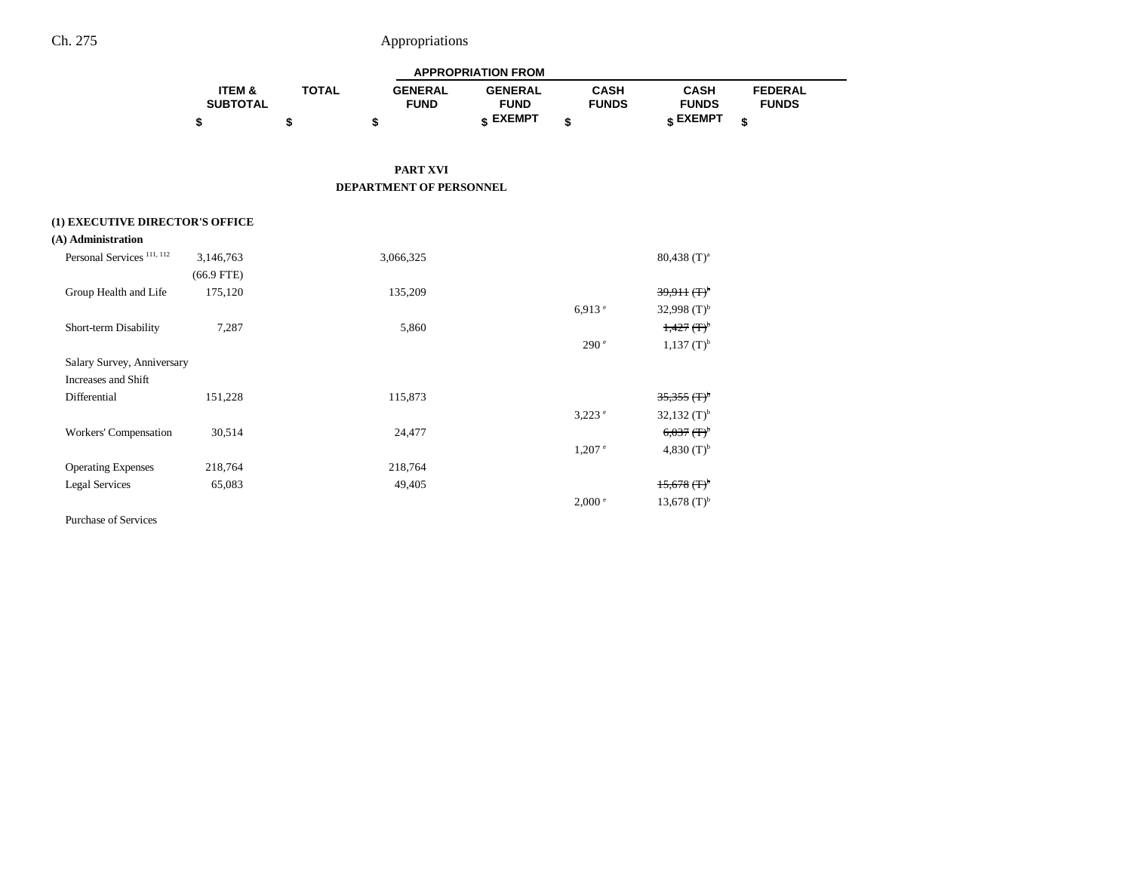# Ch. 275 Appropriations

|                                       |                           |              |                               | <b>APPROPRIATION FROM</b>     |                             |                                  |                                |
|---------------------------------------|---------------------------|--------------|-------------------------------|-------------------------------|-----------------------------|----------------------------------|--------------------------------|
|                                       | ITEM &<br><b>SUBTOTAL</b> | <b>TOTAL</b> | <b>GENERAL</b><br><b>FUND</b> | <b>GENERAL</b><br><b>FUND</b> | <b>CASH</b><br><b>FUNDS</b> | <b>CASH</b><br><b>FUNDS</b>      | <b>FEDERAL</b><br><b>FUNDS</b> |
|                                       | \$                        | \$           | \$                            | \$ EXEMPT                     | \$                          | \$ EXEMPT                        | \$                             |
|                                       |                           |              |                               |                               |                             |                                  |                                |
|                                       |                           |              | <b>PART XVI</b>               |                               |                             |                                  |                                |
|                                       |                           |              | DEPARTMENT OF PERSONNEL       |                               |                             |                                  |                                |
| (1) EXECUTIVE DIRECTOR'S OFFICE       |                           |              |                               |                               |                             |                                  |                                |
| (A) Administration                    |                           |              |                               |                               |                             |                                  |                                |
| Personal Services <sup>111, 112</sup> | 3,146,763                 |              | 3,066,325                     |                               |                             | $80,438$ (T) <sup>a</sup>        |                                |
|                                       | $(66.9$ FTE)              |              |                               |                               |                             |                                  |                                |
| Group Health and Life                 | 175,120                   |              | 135,209                       |                               |                             | $39,911$ $(\text{F})^{\text{b}}$ |                                |
|                                       |                           |              |                               |                               | 6.913 e                     | 32,998 $(T)^{b}$                 |                                |
| Short-term Disability                 | 7,287                     |              | 5,860                         |                               |                             | $1,427$ $(F)^{b}$                |                                |
|                                       |                           |              |                               |                               | 290 <sup>e</sup>            | $1,137$ (T) <sup>b</sup>         |                                |
| Salary Survey, Anniversary            |                           |              |                               |                               |                             |                                  |                                |
| Increases and Shift                   |                           |              |                               |                               |                             |                                  |                                |
| Differential                          | 151,228                   |              | 115,873                       |                               |                             | $35,355$ (T) <sup>b</sup>        |                                |
|                                       |                           |              |                               |                               | $3,223$ e                   | 32,132 $(T)^{b}$                 |                                |
| Workers' Compensation                 | 30,514                    |              | 24,477                        |                               |                             | $6,037$ $(\text{F})^{\text{b}}$  |                                |
|                                       |                           |              |                               |                               | $1,207$ $^{\circ}$          | 4,830 $(T)^{b}$                  |                                |
| <b>Operating Expenses</b>             | 218,764                   |              | 218,764                       |                               |                             |                                  |                                |
| <b>Legal Services</b>                 | 65,083                    |              | 49,405                        |                               |                             | $15,678$ (T) <sup>b</sup>        |                                |
|                                       |                           |              |                               |                               | $2,000^{\circ}$             | 13,678 $(T)^{b}$                 |                                |

Purchase of Services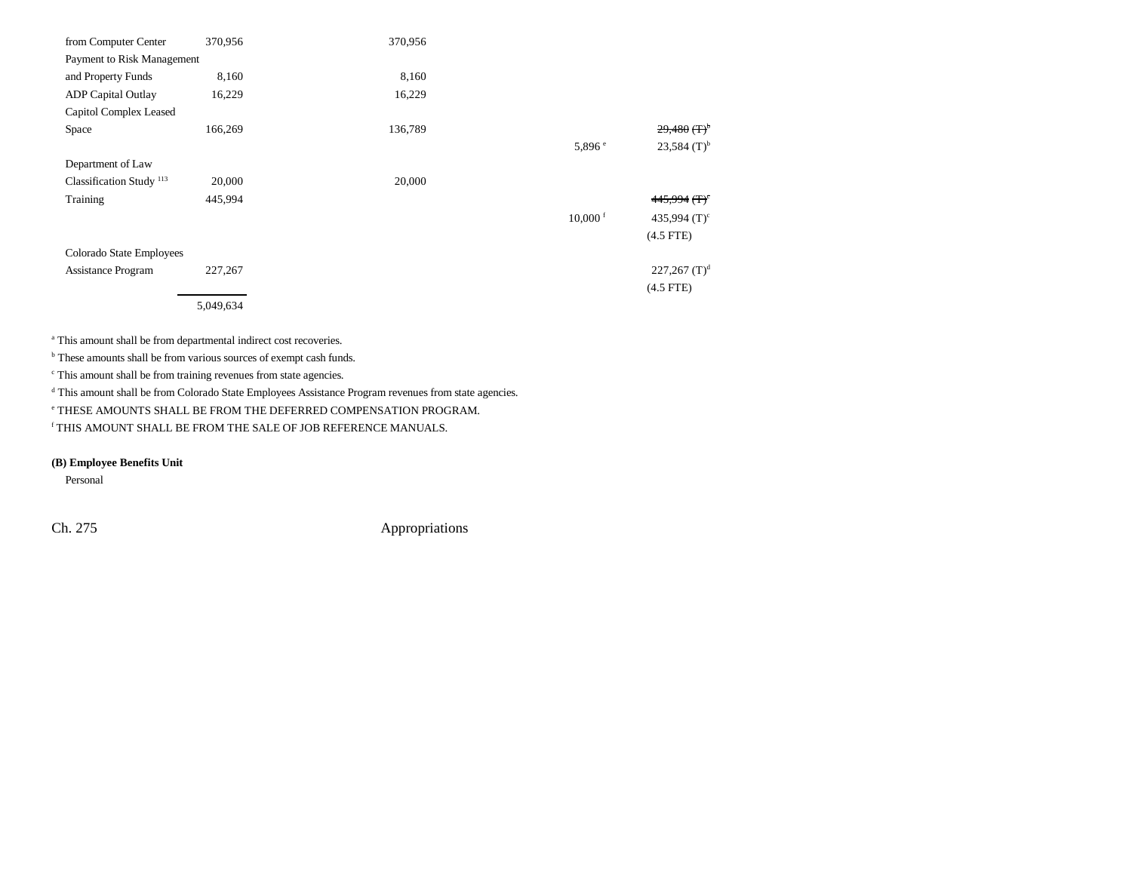| from Computer Center                | 370,956   | 370,956 |                       |                            |
|-------------------------------------|-----------|---------|-----------------------|----------------------------|
| Payment to Risk Management          |           |         |                       |                            |
| and Property Funds                  | 8,160     | 8,160   |                       |                            |
| <b>ADP</b> Capital Outlay           | 16,229    | 16,229  |                       |                            |
| Capitol Complex Leased              |           |         |                       |                            |
| Space                               | 166,269   | 136,789 |                       | $29,480$ (T) <sup>b</sup>  |
|                                     |           |         | 5,896e                | $23,584$ (T) <sup>b</sup>  |
| Department of Law                   |           |         |                       |                            |
| Classification Study <sup>113</sup> | 20,000    | 20,000  |                       |                            |
| Training                            | 445,994   |         |                       | $445,994$ (T) <sup>c</sup> |
|                                     |           |         | $10,000$ <sup>f</sup> | 435,994 $(T)^c$            |
|                                     |           |         |                       | $(4.5$ FTE)                |
| Colorado State Employees            |           |         |                       |                            |
| <b>Assistance Program</b>           | 227,267   |         |                       | 227,267 $(T)^d$            |
|                                     |           |         |                       | $(4.5$ FTE)                |
|                                     | 5,049,634 |         |                       |                            |

<sup>a</sup> This amount shall be from departmental indirect cost recoveries.

**b** These amounts shall be from various sources of exempt cash funds.

 $\cdot$  This amount shall be from training revenues from state agencies.

d This amount shall be from Colorado State Employees Assistance Program revenues from state agencies.

e THESE AMOUNTS SHALL BE FROM THE DEFERRED COMPENSATION PROGRAM.

f THIS AMOUNT SHALL BE FROM THE SALE OF JOB REFERENCE MANUALS.

**(B) Employee Benefits Unit**

Personal

Ch. 275 Appropriations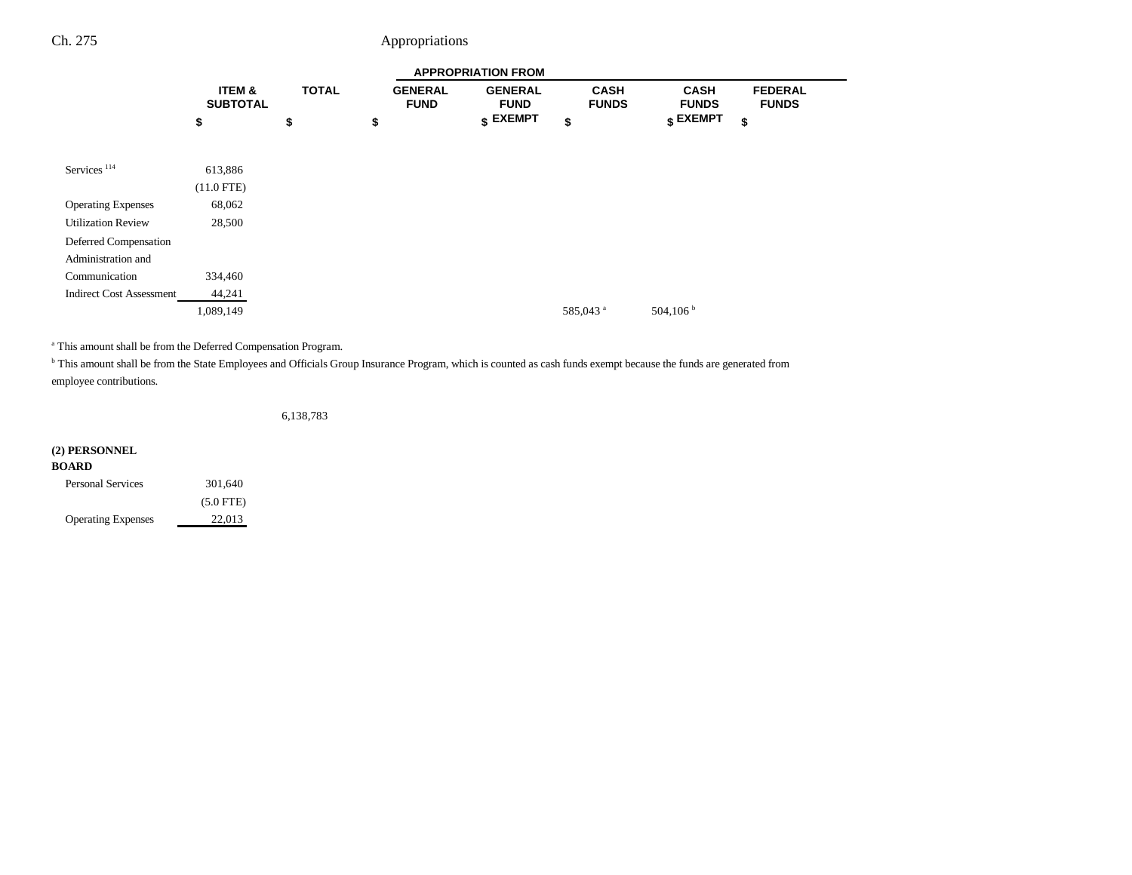# Ch. 275 Appropriations

|                                 |                                      |              |                               | <b>APPROPRIATION FROM</b>     |                             |                                  |                                |
|---------------------------------|--------------------------------------|--------------|-------------------------------|-------------------------------|-----------------------------|----------------------------------|--------------------------------|
|                                 | <b>ITEM &amp;</b><br><b>SUBTOTAL</b> | <b>TOTAL</b> | <b>GENERAL</b><br><b>FUND</b> | <b>GENERAL</b><br><b>FUND</b> | <b>CASH</b><br><b>FUNDS</b> | <b>CASH</b><br><b>FUNDS</b>      | <b>FEDERAL</b><br><b>FUNDS</b> |
|                                 | \$                                   | \$           | \$                            | $$$ EXEMPT                    | \$                          | $\boldsymbol{\mathsf{s}}$ EXEMPT | \$                             |
|                                 |                                      |              |                               |                               |                             |                                  |                                |
| Services <sup>114</sup>         | 613,886                              |              |                               |                               |                             |                                  |                                |
|                                 | $(11.0$ FTE)                         |              |                               |                               |                             |                                  |                                |
| <b>Operating Expenses</b>       | 68,062                               |              |                               |                               |                             |                                  |                                |
| <b>Utilization Review</b>       | 28,500                               |              |                               |                               |                             |                                  |                                |
| Deferred Compensation           |                                      |              |                               |                               |                             |                                  |                                |
| Administration and              |                                      |              |                               |                               |                             |                                  |                                |
| Communication                   | 334,460                              |              |                               |                               |                             |                                  |                                |
| <b>Indirect Cost Assessment</b> | 44,241                               |              |                               |                               |                             |                                  |                                |
|                                 | 1,089,149                            |              |                               |                               | 585,043 <sup>a</sup>        | 504,106 $^{\rm b}$               |                                |
|                                 |                                      |              |                               |                               |                             |                                  |                                |

a This amount shall be from the Deferred Compensation Program.

<sup>b</sup> This amount shall be from the State Employees and Officials Group Insurance Program, which is counted as cash funds exempt because the funds are generated from employee contributions.

6,138,783

#### **(2) PERSONNEL**

| <b>Personal Services</b>  | 301,640     |
|---------------------------|-------------|
|                           | $(5.0$ FTE) |
| <b>Operating Expenses</b> | 22,013      |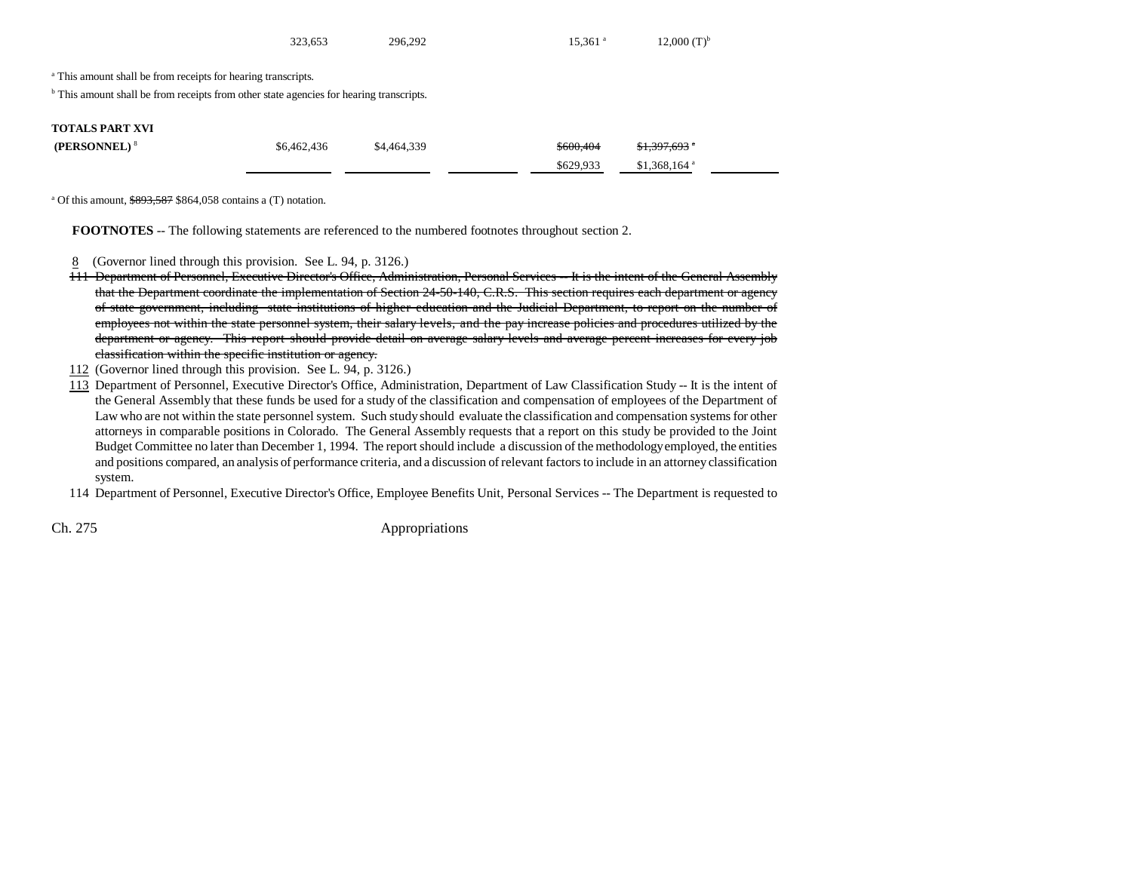|                                                                                                                                                                                | 323,653     | 296.292     | $15.361$ <sup>a</sup> | $12,000$ $(T)^{b}$        |  |
|--------------------------------------------------------------------------------------------------------------------------------------------------------------------------------|-------------|-------------|-----------------------|---------------------------|--|
| <sup>a</sup> This amount shall be from receipts for hearing transcripts.<br><sup>b</sup> This amount shall be from receipts from other state agencies for hearing transcripts. |             |             |                       |                           |  |
| <b>TOTALS PART XVI</b><br>(PERSONNEL) <sup>8</sup>                                                                                                                             | \$6,462,436 | \$4,464,339 | \$600,404             | $$1,397,693$ *            |  |
|                                                                                                                                                                                |             |             | \$629.933             | $$1,368,164$ <sup>a</sup> |  |

<sup>a</sup> Of this amount,  $\frac{$893,587}{$864,058}$  contains a (T) notation.

**FOOTNOTES** -- The following statements are referenced to the numbered footnotes throughout section 2.

8 (Governor lined through this provision. See L. 94, p. 3126.)

- 111 Department of Personnel, Executive Director's Office, Administration, Personal Services -- It is the intent of the General Assembly that the Department coordinate the implementation of Section 24-50-140, C.R.S. This section requires each department or agency of state government, including state institutions of higher education and the Judicial Department, to report on the number of employees not within the state personnel system, their salary levels, and the pay increase policies and procedures utilized by the department or agency. This report should provide detail on average salary levels and average percent increases for every job classification within the specific institution or agency.
- 112 (Governor lined through this provision. See L. 94, p. 3126.)
- 113 Department of Personnel, Executive Director's Office, Administration, Department of Law Classification Study -- It is the intent of the General Assembly that these funds be used for a study of the classification and compensation of employees of the Department of Law who are not within the state personnel system. Such study should evaluate the classification and compensation systems for other attorneys in comparable positions in Colorado. The General Assembly requests that a report on this study be provided to the Joint Budget Committee no later than December 1, 1994. The report should include a discussion of the methodology employed, the entities and positions compared, an analysis of performance criteria, and a discussion of relevant factors to include in an attorney classification system.

114 Department of Personnel, Executive Director's Office, Employee Benefits Unit, Personal Services -- The Department is requested to

Ch. 275 Appropriations